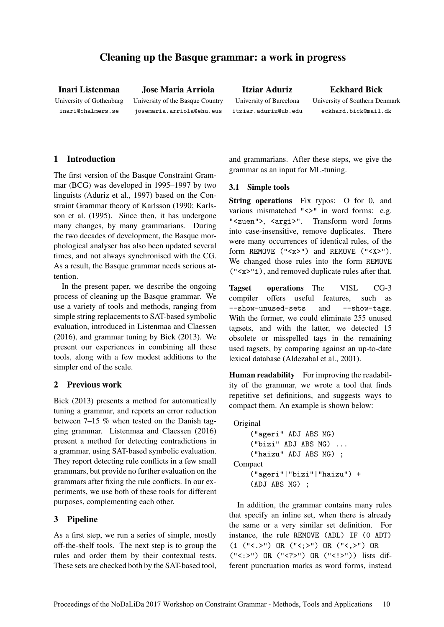# Cleaning up the Basque grammar: a work in progress

Inari Listenmaa University of Gothenburg inari@chalmers.se

Jose Maria Arriola University of the Basque Country josemaria.arriola@ehu.eus

Itziar Aduriz University of Barcelona itziar.aduriz@ub.edu

Eckhard Bick University of Southern Denmark

eckhard.bick@mail.dk

# 1 Introduction

The first version of the Basque Constraint Grammar (BCG) was developed in 1995–1997 by two linguists (Aduriz et al., 1997) based on the Constraint Grammar theory of Karlsson (1990; Karlsson et al. (1995). Since then, it has undergone many changes, by many grammarians. During the two decades of development, the Basque morphological analyser has also been updated several times, and not always synchronised with the CG. As a result, the Basque grammar needs serious attention.

In the present paper, we describe the ongoing process of cleaning up the Basque grammar. We use a variety of tools and methods, ranging from simple string replacements to SAT-based symbolic evaluation, introduced in Listenmaa and Claessen (2016), and grammar tuning by Bick (2013). We present our experiences in combining all these tools, along with a few modest additions to the simpler end of the scale.

## 2 Previous work

Bick (2013) presents a method for automatically tuning a grammar, and reports an error reduction between 7–15 % when tested on the Danish tagging grammar. Listenmaa and Claessen (2016) present a method for detecting contradictions in a grammar, using SAT-based symbolic evaluation. They report detecting rule conflicts in a few small grammars, but provide no further evaluation on the grammars after fixing the rule conflicts. In our experiments, we use both of these tools for different purposes, complementing each other.

## 3 Pipeline

As a first step, we run a series of simple, mostly off-the-shelf tools. The next step is to group the rules and order them by their contextual tests. These sets are checked both by the SAT-based tool, and grammarians. After these steps, we give the grammar as an input for ML-tuning.

### 3.1 Simple tools

String operations Fix typos: O for 0, and various mismatched "<>" in word forms: e.g. "<zuen">, <argi>". Transform word forms into case-insensitive, remove duplicates. There were many occurrences of identical rules, of the form REMOVE  $(\forall x > \dashv)$  and REMOVE  $(\forall x > \dashv)$ . We changed those rules into the form REMOVE ("<x>"i), and removed duplicate rules after that.

Tagset operations The VISL CG-3 compiler offers useful features, such as --show-unused-sets and --show-tags. With the former, we could eliminate 255 unused tagsets, and with the latter, we detected 15 obsolete or misspelled tags in the remaining used tagsets, by comparing against an up-to-date lexical database (Aldezabal et al., 2001).

Human readability For improving the readability of the grammar, we wrote a tool that finds repetitive set definitions, and suggests ways to compact them. An example is shown below:

```
Original
    ("ageri" ADJ ABS MG)
    ("bizi" ADJ ABS MG) ...
    ("haizu" ADJ ABS MG) ;
Compact
    ("ageri"|"bizi"|"haizu") +
    (ADJ ABS MG) ;
```
In addition, the grammar contains many rules that specify an inline set, when there is already the same or a very similar set definition. For instance, the rule REMOVE (ADL) IF (0 ADT) (1 ("<.>") OR ("<;>") OR ("<,>") OR ("<:>") OR ("<?>") OR ("<!>")) lists different punctuation marks as word forms, instead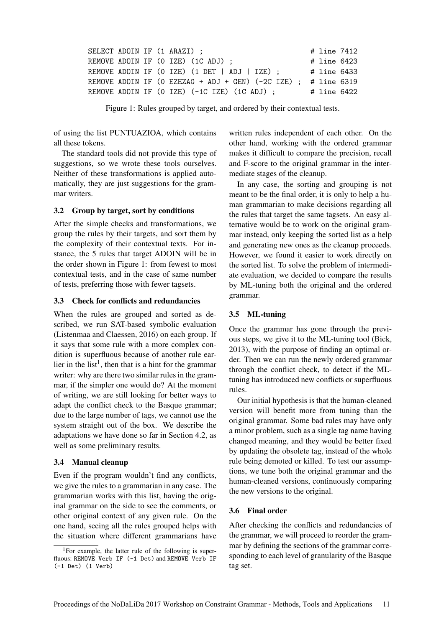|  |  | SELECT ADOIN IF (1 ARAZI) ;                                     | # line 7412 |  |
|--|--|-----------------------------------------------------------------|-------------|--|
|  |  | REMOVE ADOIN IF (O IZE) (1C ADJ) ;                              | # line 6423 |  |
|  |  | REMOVE ADOIN IF (O IZE) (1 DET   ADJ   IZE) ;                   | # line 6433 |  |
|  |  | REMOVE ADOIN IF (O EZEZAG + ADJ + GEN) (-2C IZE) :  # line 6319 |             |  |
|  |  | REMOVE ADOIN IF (O IZE) (-1C IZE) (1C ADJ) ;                    | # line 6422 |  |
|  |  |                                                                 |             |  |

Figure 1: Rules grouped by target, and ordered by their contextual tests.

of using the list PUNTUAZIOA, which contains all these tokens.

The standard tools did not provide this type of suggestions, so we wrote these tools ourselves. Neither of these transformations is applied automatically, they are just suggestions for the grammar writers.

#### 3.2 Group by target, sort by conditions

After the simple checks and transformations, we group the rules by their targets, and sort them by the complexity of their contextual texts. For instance, the 5 rules that target ADOIN will be in the order shown in Figure 1: from fewest to most contextual tests, and in the case of same number of tests, preferring those with fewer tagsets.

### 3.3 Check for conflicts and redundancies

When the rules are grouped and sorted as described, we run SAT-based symbolic evaluation (Listenmaa and Claessen, 2016) on each group. If it says that some rule with a more complex condition is superfluous because of another rule earlier in the list<sup>1</sup>, then that is a hint for the grammar writer: why are there two similar rules in the grammar, if the simpler one would do? At the moment of writing, we are still looking for better ways to adapt the conflict check to the Basque grammar; due to the large number of tags, we cannot use the system straight out of the box. We describe the adaptations we have done so far in Section 4.2, as well as some preliminary results.

### 3.4 Manual cleanup

Even if the program wouldn't find any conflicts, we give the rules to a grammarian in any case. The grammarian works with this list, having the original grammar on the side to see the comments, or other original context of any given rule. On the one hand, seeing all the rules grouped helps with the situation where different grammarians have written rules independent of each other. On the other hand, working with the ordered grammar makes it difficult to compare the precision, recall and F-score to the original grammar in the intermediate stages of the cleanup.

In any case, the sorting and grouping is not meant to be the final order, it is only to help a human grammarian to make decisions regarding all the rules that target the same tagsets. An easy alternative would be to work on the original grammar instead, only keeping the sorted list as a help and generating new ones as the cleanup proceeds. However, we found it easier to work directly on the sorted list. To solve the problem of intermediate evaluation, we decided to compare the results by ML-tuning both the original and the ordered grammar.

### 3.5 ML-tuning

Once the grammar has gone through the previous steps, we give it to the ML-tuning tool (Bick, 2013), with the purpose of finding an optimal order. Then we can run the newly ordered grammar through the conflict check, to detect if the MLtuning has introduced new conflicts or superfluous rules.

Our initial hypothesis is that the human-cleaned version will benefit more from tuning than the original grammar. Some bad rules may have only a minor problem, such as a single tag name having changed meaning, and they would be better fixed by updating the obsolete tag, instead of the whole rule being demoted or killed. To test our assumptions, we tune both the original grammar and the human-cleaned versions, continuously comparing the new versions to the original.

#### 3.6 Final order

After checking the conflicts and redundancies of the grammar, we will proceed to reorder the grammar by defining the sections of the grammar corresponding to each level of granularity of the Basque tag set.

<sup>&</sup>lt;sup>1</sup>For example, the latter rule of the following is superfluous: REMOVE Verb IF (-1 Det) and REMOVE Verb IF (-1 Det) (1 Verb)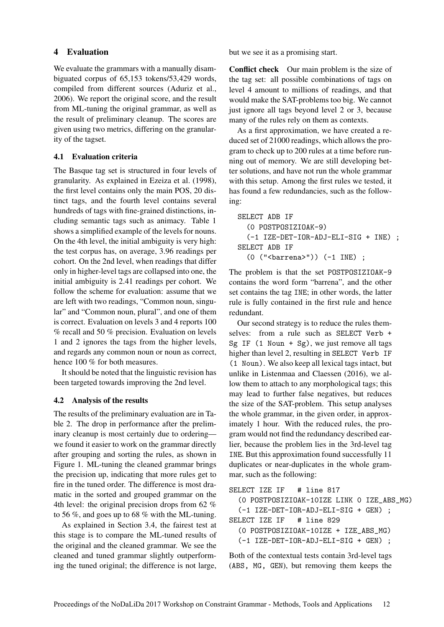## 4 Evaluation

We evaluate the grammars with a manually disambiguated corpus of 65,153 tokens/53,429 words, compiled from different sources (Aduriz et al., 2006). We report the original score, and the result from ML-tuning the original grammar, as well as the result of preliminary cleanup. The scores are given using two metrics, differing on the granularity of the tagset.

## 4.1 Evaluation criteria

The Basque tag set is structured in four levels of granularity. As explained in Ezeiza et al. (1998), the first level contains only the main POS, 20 distinct tags, and the fourth level contains several hundreds of tags with fine-grained distinctions, including semantic tags such as animacy. Table 1 shows a simplified example of the levels for nouns. On the 4th level, the initial ambiguity is very high: the test corpus has, on average, 3.96 readings per cohort. On the 2nd level, when readings that differ only in higher-level tags are collapsed into one, the initial ambiguity is 2.41 readings per cohort. We follow the scheme for evaluation: assume that we are left with two readings, "Common noun, singular" and "Common noun, plural", and one of them is correct. Evaluation on levels 3 and 4 reports 100 % recall and 50 % precision. Evaluation on levels 1 and 2 ignores the tags from the higher levels, and regards any common noun or noun as correct, hence 100 % for both measures.

It should be noted that the linguistic revision has been targeted towards improving the 2nd level.

# 4.2 Analysis of the results

The results of the preliminary evaluation are in Table 2. The drop in performance after the preliminary cleanup is most certainly due to ordering we found it easier to work on the grammar directly after grouping and sorting the rules, as shown in Figure 1. ML-tuning the cleaned grammar brings the precision up, indicating that more rules get to fire in the tuned order. The difference is most dramatic in the sorted and grouped grammar on the 4th level: the original precision drops from 62 % to 56 %, and goes up to 68 % with the ML-tuning.

As explained in Section 3.4, the fairest test at this stage is to compare the ML-tuned results of the original and the cleaned grammar. We see the cleaned and tuned grammar slightly outperforming the tuned original; the difference is not large, but we see it as a promising start.

Conflict check Our main problem is the size of the tag set: all possible combinations of tags on level 4 amount to millions of readings, and that would make the SAT-problems too big. We cannot just ignore all tags beyond level 2 or 3, because many of the rules rely on them as contexts.

As a first approximation, we have created a reduced set of 21000 readings, which allows the program to check up to 200 rules at a time before running out of memory. We are still developing better solutions, and have not run the whole grammar with this setup. Among the first rules we tested, it has found a few redundancies, such as the following:

```
SELECT ADB IF
  (0 POSTPOSIZIOAK-9)
  (-1 IZE-DET-IOR-ADJ-ELI-SIG + INE) ;
SELECT ADB IF
  (0 ("<barrena>")) (-1 INE) ;
```
The problem is that the set POSTPOSIZIOAK-9 contains the word form "barrena", and the other set contains the tag INE; in other words, the latter rule is fully contained in the first rule and hence redundant.

Our second strategy is to reduce the rules themselves: from a rule such as SELECT Verb + Sg IF  $(1$  Noun + Sg), we just remove all tags higher than level 2, resulting in SELECT Verb IF (1 Noun). We also keep all lexical tags intact, but unlike in Listenmaa and Claessen (2016), we allow them to attach to any morphological tags; this may lead to further false negatives, but reduces the size of the SAT-problem. This setup analyses the whole grammar, in the given order, in approximately 1 hour. With the reduced rules, the program would not find the redundancy described earlier, because the problem lies in the 3rd-level tag INE. But this approximation found successfully 11 duplicates or near-duplicates in the whole grammar, such as the following:

```
SELECT IZE IF # line 817
  (0 POSTPOSIZIOAK-10IZE LINK 0 IZE_ABS_MG)
  (-1 IZE-DET-IOR-ADJ-ELI-SIG + GEN) ;
SELECT IZE IF # line 829
  (0 POSTPOSIZIOAK-10IZE + IZE_ABS_MG)
  (-1 IZE-DET-IOR-ADJ-ELI-SIG + GEN) ;
```
Both of the contextual tests contain 3rd-level tags (ABS, MG, GEN), but removing them keeps the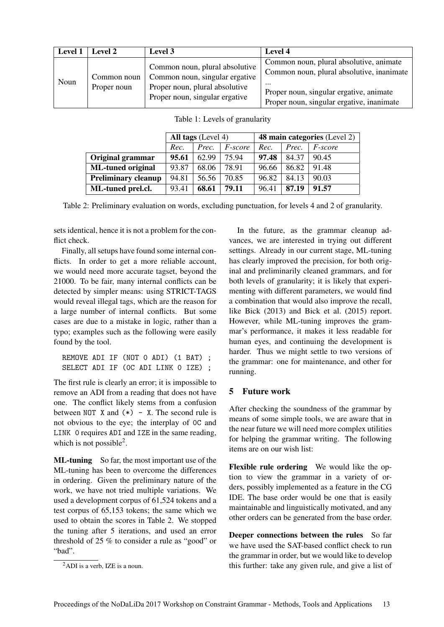| <b>Level 1</b> | Level 2                    | Level 3                                                                                                                              | Level 4                                                                                                                                                                                  |
|----------------|----------------------------|--------------------------------------------------------------------------------------------------------------------------------------|------------------------------------------------------------------------------------------------------------------------------------------------------------------------------------------|
| Noun           | Common noun<br>Proper noun | Common noun, plural absolutive<br>Common noun, singular ergative<br>Proper noun, plural absolutive<br>Proper noun, singular ergative | Common noun, plural absolutive, animate<br>Common noun, plural absolutive, inanimate<br>$\cdots$<br>Proper noun, singular ergative, animate<br>Proper noun, singular ergative, inanimate |

|                            | All tags (Level 4) |       |                | <b>48 main categories</b> (Level 2) |       |                |  |
|----------------------------|--------------------|-------|----------------|-------------------------------------|-------|----------------|--|
|                            | Rec.               | Prec. | <i>F-score</i> | Rec.                                | Prec. | <i>F-score</i> |  |
| Original grammar           | 95.61              | 62.99 | 75.94          | 97.48                               | 84.37 | 90.45          |  |
| <b>ML-tuned original</b>   | 93.87              | 68.06 | 78.91          | 96.66                               | 86.82 | 91.48          |  |
| <b>Preliminary cleanup</b> | 94.81              | 56.56 | 70.85          | 96.82                               | 84.13 | 90.03          |  |
| ML-tuned prel.cl.          | 93.41              | 68.61 | 79.11          | 96.41                               | 87.19 | 91.57          |  |

| Table 1: Levels of granularity |  |  |  |
|--------------------------------|--|--|--|
|                                |  |  |  |

Table 2: Preliminary evaluation on words, excluding punctuation, for levels 4 and 2 of granularity.

sets identical, hence it is not a problem for the conflict check.

Finally, all setups have found some internal conflicts. In order to get a more reliable account, we would need more accurate tagset, beyond the 21000. To be fair, many internal conflicts can be detected by simpler means: using STRICT-TAGS would reveal illegal tags, which are the reason for a large number of internal conflicts. But some cases are due to a mistake in logic, rather than a typo; examples such as the following were easily found by the tool.

```
REMOVE ADI IF (NOT 0 ADI) (1 BAT) ;
SELECT ADI IF (0C ADI LINK 0 IZE) ;
```
The first rule is clearly an error; it is impossible to remove an ADI from a reading that does not have one. The conflict likely stems from a confusion between NOT X and  $(*)$  - X. The second rule is not obvious to the eye; the interplay of 0C and LINK 0 requires ADI and IZE in the same reading, which is not possible<sup>2</sup>.

ML-tuning So far, the most important use of the ML-tuning has been to overcome the differences in ordering. Given the preliminary nature of the work, we have not tried multiple variations. We used a development corpus of 61,524 tokens and a test corpus of 65,153 tokens; the same which we used to obtain the scores in Table 2. We stopped the tuning after 5 iterations, and used an error threshold of 25 % to consider a rule as "good" or "bad".

In the future, as the grammar cleanup advances, we are interested in trying out different settings. Already in our current stage, ML-tuning has clearly improved the precision, for both original and preliminarily cleaned grammars, and for both levels of granularity; it is likely that experimenting with different parameters, we would find a combination that would also improve the recall, like Bick (2013) and Bick et al. (2015) report. However, while ML-tuning improves the grammar's performance, it makes it less readable for human eyes, and continuing the development is harder. Thus we might settle to two versions of the grammar: one for maintenance, and other for running.

### 5 Future work

After checking the soundness of the grammar by means of some simple tools, we are aware that in the near future we will need more complex utilities for helping the grammar writing. The following items are on our wish list:

Flexible rule ordering We would like the option to view the grammar in a variety of orders, possibly implemented as a feature in the CG IDE. The base order would be one that is easily maintainable and linguistically motivated, and any other orders can be generated from the base order.

Deeper connections between the rules So far we have used the SAT-based conflict check to run the grammar in order, but we would like to develop this further: take any given rule, and give a list of

<sup>2</sup>ADI is a verb, IZE is a noun.